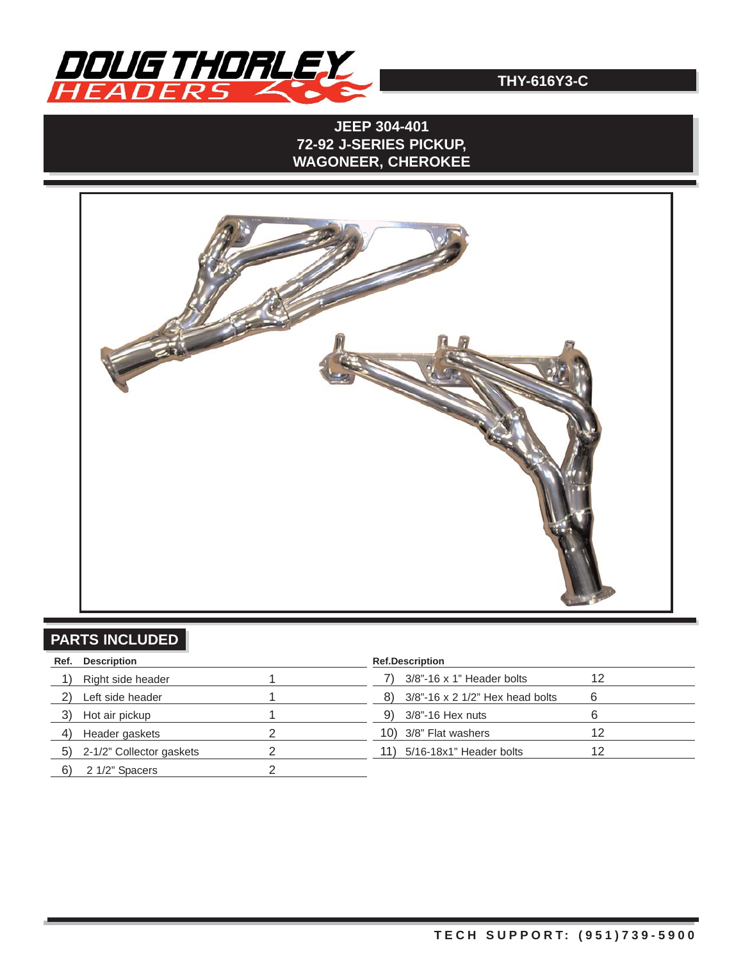

## **JEEP 304-401 72-92 J-SERIES PICKUP, WAGONEER, CHEROKEE**



# **PARTS INCLUDED**

| Ref. | <b>Description</b>          | <b>Ref.Description</b>                   |    |
|------|-----------------------------|------------------------------------------|----|
|      | Right side header           | $3/8$ "-16 x 1" Header bolts             | 12 |
|      | Left side header            | $3/8$ "-16 x 2 1/2" Hex head bolts<br>8) |    |
|      | Hot air pickup              | 3/8"-16 Hex nuts<br>9)                   |    |
| 4)   | Header gaskets              | 10) 3/8" Flat washers                    | 12 |
|      | 5) 2-1/2" Collector gaskets | 5/16-18x1" Header bolts<br>11)           | 12 |
| 6)   | 2 1/2" Spacers              |                                          |    |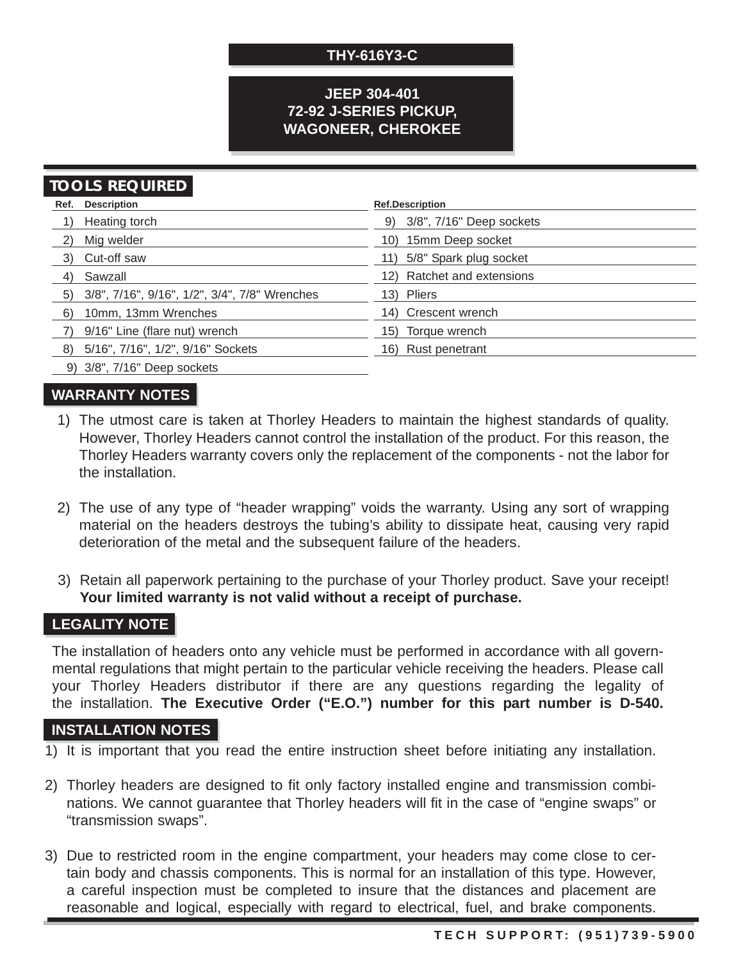### **JEEP 304-401 72-92 J-SERIES PICKUP, WAGONEER, CHEROKEE**

## **TOOLS REQUIRED**

|    | Ref. Description                                 | <b>Ref.Description</b>      |
|----|--------------------------------------------------|-----------------------------|
|    | Heating torch                                    | 9) 3/8", 7/16" Deep sockets |
| 2) | Mig welder                                       | 10) 15mm Deep socket        |
|    | 3) Cut-off saw                                   | 11) 5/8" Spark plug socket  |
| 4) | Sawzall                                          | 12) Ratchet and extensions  |
|    | 5) 3/8", 7/16", 9/16", 1/2", 3/4", 7/8" Wrenches | 13) Pliers                  |
| 6) | 10mm, 13mm Wrenches                              | 14) Crescent wrench         |
|    | 9/16" Line (flare nut) wrench                    | 15) Torque wrench           |
|    | 8) 5/16", 7/16", 1/2", 9/16" Sockets             | 16) Rust penetrant          |
|    | 9) 3/8", 7/16" Deep sockets                      |                             |

### **WARRANTY NOTES**

- 1) The utmost care is taken at Thorley Headers to maintain the highest standards of quality. However, Thorley Headers cannot control the installation of the product. For this reason, the Thorley Headers warranty covers only the replacement of the components - not the labor for the installation.
- 2) The use of any type of "header wrapping" voids the warranty. Using any sort of wrapping material on the headers destroys the tubing's ability to dissipate heat, causing very rapid deterioration of the metal and the subsequent failure of the headers.
- 3) Retain all paperwork pertaining to the purchase of your Thorley product. Save your receipt! **Your limited warranty is not valid without a receipt of purchase.**

## **LEGALITY NOTE**

The installation of headers onto any vehicle must be performed in accordance with all governmental regulations that might pertain to the particular vehicle receiving the headers. Please call your Thorley Headers distributor if there are any questions regarding the legality of the installation. **The Executive Order ("E.O.") number for this part number is D-540.**

#### **INSTALLATION NOTES**

- 1) It is important that you read the entire instruction sheet before initiating any installation.
- 2) Thorley headers are designed to fit only factory installed engine and transmission combinations. We cannot guarantee that Thorley headers will fit in the case of "engine swaps" or "transmission swaps".
- 3) Due to restricted room in the engine compartment, your headers may come close to certain body and chassis components. This is normal for an installation of this type. However, a careful inspection must be completed to insure that the distances and placement are reasonable and logical, especially with regard to electrical, fuel, and brake components.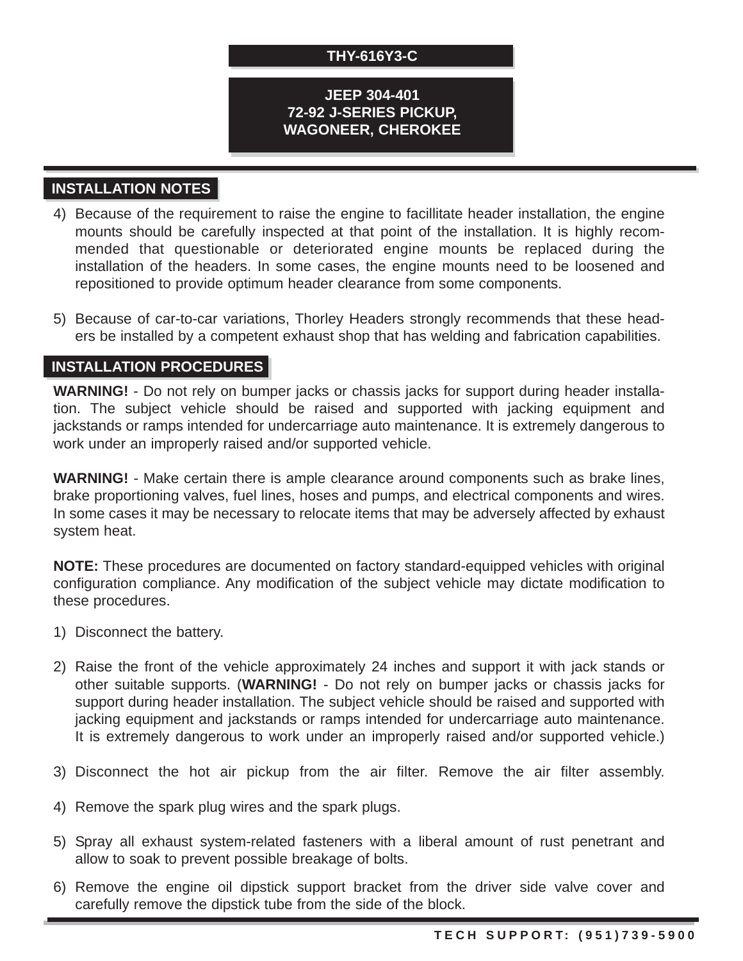#### **JEEP 304-401 72-92 J-SERIES PICKUP, WAGONEER, CHEROKEE**

## **INSTALLATION NOTES**

- 4) Because of the requirement to raise the engine to facillitate header installation, the engine mounts should be carefully inspected at that point of the installation. It is highly recommended that questionable or deteriorated engine mounts be replaced during the installation of the headers. In some cases, the engine mounts need to be loosened and repositioned to provide optimum header clearance from some components.
- 5) Because of car-to-car variations, Thorley Headers strongly recommends that these headers be installed by a competent exhaust shop that has welding and fabrication capabilities.

### **INSTALLATION PROCEDURES**

**WARNING!** - Do not rely on bumper jacks or chassis jacks for support during header installation. The subject vehicle should be raised and supported with jacking equipment and jackstands or ramps intended for undercarriage auto maintenance. It is extremely dangerous to work under an improperly raised and/or supported vehicle.

**WARNING!** - Make certain there is ample clearance around components such as brake lines, brake proportioning valves, fuel lines, hoses and pumps, and electrical components and wires. In some cases it may be necessary to relocate items that may be adversely affected by exhaust system heat.

**NOTE:** These procedures are documented on factory standard-equipped vehicles with original configuration compliance. Any modification of the subject vehicle may dictate modification to these procedures.

- 1) Disconnect the battery.
- 2) Raise the front of the vehicle approximately 24 inches and support it with jack stands or other suitable supports. (**WARNING!** - Do not rely on bumper jacks or chassis jacks for support during header installation. The subject vehicle should be raised and supported with jacking equipment and jackstands or ramps intended for undercarriage auto maintenance. It is extremely dangerous to work under an improperly raised and/or supported vehicle.)
- 3) Disconnect the hot air pickup from the air filter. Remove the air filter assembly.
- 4) Remove the spark plug wires and the spark plugs.
- 5) Spray all exhaust system-related fasteners with a liberal amount of rust penetrant and allow to soak to prevent possible breakage of bolts.
- 6) Remove the engine oil dipstick support bracket from the driver side valve cover and carefully remove the dipstick tube from the side of the block.